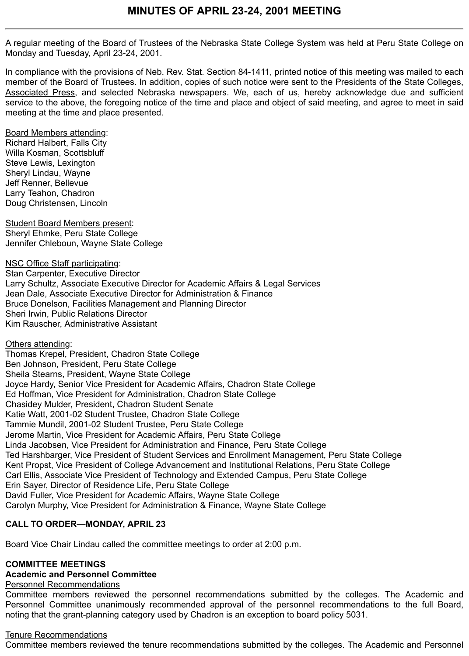A regular meeting of the Board of Trustees of the Nebraska State College System was held at Peru State College on Monday and Tuesday, April 23-24, 2001.

In compliance with the provisions of Neb. Rev. Stat. Section 84-1411, printed notice of this meeting was mailed to each member of the Board of Trustees. In addition, copies of such notice were sent to the Presidents of the State Colleges, Associated Press, and selected Nebraska newspapers. We, each of us, hereby acknowledge due and sufficient service to the above, the foregoing notice of the time and place and object of said meeting, and agree to meet in said meeting at the time and place presented.

Board Members attending:

Richard Halbert, Falls City Willa Kosman, Scottsbluff Steve Lewis, Lexington Sheryl Lindau, Wayne Jeff Renner, Bellevue Larry Teahon, Chadron Doug Christensen, Lincoln

Student Board Members present: Sheryl Ehmke, Peru State College Jennifer Chleboun, Wayne State College

NSC Office Staff participating: Stan Carpenter, Executive Director Larry Schultz, Associate Executive Director for Academic Affairs & Legal Services Jean Dale, Associate Executive Director for Administration & Finance Bruce Donelson, Facilities Management and Planning Director Sheri Irwin, Public Relations Director Kim Rauscher, Administrative Assistant

Others attending: Thomas Krepel, President, Chadron State College Ben Johnson, President, Peru State College Sheila Stearns, President, Wayne State College Joyce Hardy, Senior Vice President for Academic Affairs, Chadron State College Ed Hoffman, Vice President for Administration, Chadron State College Chasidey Mulder, President, Chadron Student Senate Katie Watt, 2001-02 Student Trustee, Chadron State College Tammie Mundil, 2001-02 Student Trustee, Peru State College Jerome Martin, Vice President for Academic Affairs, Peru State College Linda Jacobsen, Vice President for Administration and Finance, Peru State College Ted Harshbarger, Vice President of Student Services and Enrollment Management, Peru State College Kent Propst, Vice President of College Advancement and Institutional Relations, Peru State College Carl Ellis, Associate Vice President of Technology and Extended Campus, Peru State College Erin Sayer, Director of Residence Life, Peru State College David Fuller, Vice President for Academic Affairs, Wayne State College Carolyn Murphy, Vice President for Administration & Finance, Wayne State College

## **CALL TO ORDER—MONDAY, APRIL 23**

Board Vice Chair Lindau called the committee meetings to order at 2:00 p.m.

## **COMMITTEE MEETINGS**

## **Academic and Personnel Committee**

# Personnel Recommendations

Committee members reviewed the personnel recommendations submitted by the colleges. The Academic and Personnel Committee unanimously recommended approval of the personnel recommendations to the full Board, noting that the grant-planning category used by Chadron is an exception to board policy 5031.

## Tenure Recommendations

Committee members reviewed the tenure recommendations submitted by the colleges. The Academic and Personnel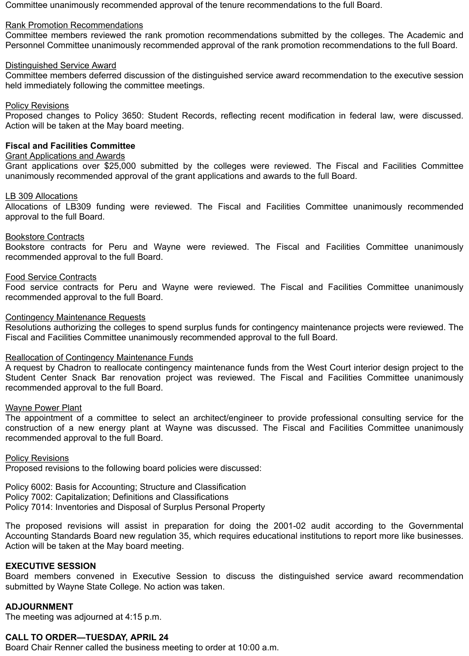Committee unanimously recommended approval of the tenure recommendations to the full Board.

### Rank Promotion Recommendations

Committee members reviewed the rank promotion recommendations submitted by the colleges. The Academic and Personnel Committee unanimously recommended approval of the rank promotion recommendations to the full Board.

## Distinguished Service Award

Committee members deferred discussion of the distinguished service award recommendation to the executive session held immediately following the committee meetings.

## **Policy Revisions**

Proposed changes to Policy 3650: Student Records, reflecting recent modification in federal law, were discussed. Action will be taken at the May board meeting.

## **Fiscal and Facilities Committee**

## Grant Applications and Awards

Grant applications over \$25,000 submitted by the colleges were reviewed. The Fiscal and Facilities Committee unanimously recommended approval of the grant applications and awards to the full Board.

### LB 309 Allocations

Allocations of LB309 funding were reviewed. The Fiscal and Facilities Committee unanimously recommended approval to the full Board.

## Bookstore Contracts

Bookstore contracts for Peru and Wayne were reviewed. The Fiscal and Facilities Committee unanimously recommended approval to the full Board.

#### Food Service Contracts

Food service contracts for Peru and Wayne were reviewed. The Fiscal and Facilities Committee unanimously recommended approval to the full Board.

### Contingency Maintenance Requests

Resolutions authorizing the colleges to spend surplus funds for contingency maintenance projects were reviewed. The Fiscal and Facilities Committee unanimously recommended approval to the full Board.

### Reallocation of Contingency Maintenance Funds

A request by Chadron to reallocate contingency maintenance funds from the West Court interior design project to the Student Center Snack Bar renovation project was reviewed. The Fiscal and Facilities Committee unanimously recommended approval to the full Board.

### Wayne Power Plant

The appointment of a committee to select an architect/engineer to provide professional consulting service for the construction of a new energy plant at Wayne was discussed. The Fiscal and Facilities Committee unanimously recommended approval to the full Board.

### **Policy Revisions**

Proposed revisions to the following board policies were discussed:

Policy 6002: Basis for Accounting; Structure and Classification Policy 7002: Capitalization; Definitions and Classifications Policy 7014: Inventories and Disposal of Surplus Personal Property

The proposed revisions will assist in preparation for doing the 2001-02 audit according to the Governmental Accounting Standards Board new regulation 35, which requires educational institutions to report more like businesses. Action will be taken at the May board meeting.

### **EXECUTIVE SESSION**

Board members convened in Executive Session to discuss the distinguished service award recommendation submitted by Wayne State College. No action was taken.

## **ADJOURNMENT**

The meeting was adjourned at 4:15 p.m.

# **CALL TO ORDER—TUESDAY, APRIL 24**

Board Chair Renner called the business meeting to order at 10:00 a.m.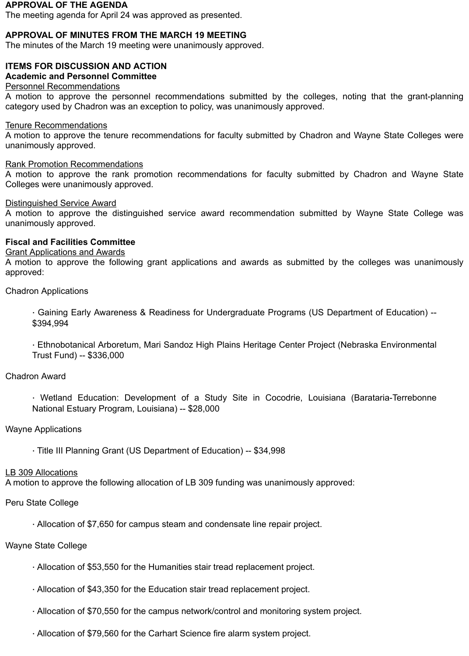#### **APPROVAL OF THE AGENDA**

The meeting agenda for April 24 was approved as presented.

## **APPROVAL OF MINUTES FROM THE MARCH 19 MEETING**

The minutes of the March 19 meeting were unanimously approved.

# **ITEMS FOR DISCUSSION AND ACTION**

# **Academic and Personnel Committee**

# Personnel Recommendations

A motion to approve the personnel recommendations submitted by the colleges, noting that the grant-planning category used by Chadron was an exception to policy, was unanimously approved.

## Tenure Recommendations

A motion to approve the tenure recommendations for faculty submitted by Chadron and Wayne State Colleges were unanimously approved.

## Rank Promotion Recommendations

A motion to approve the rank promotion recommendations for faculty submitted by Chadron and Wayne State Colleges were unanimously approved.

## Distinguished Service Award

A motion to approve the distinguished service award recommendation submitted by Wayne State College was unanimously approved.

## **Fiscal and Facilities Committee**

## Grant Applications and Awards

A motion to approve the following grant applications and awards as submitted by the colleges was unanimously approved:

Chadron Applications

· Gaining Early Awareness & Readiness for Undergraduate Programs (US Department of Education) -- \$394,994

· Ethnobotanical Arboretum, Mari Sandoz High Plains Heritage Center Project (Nebraska Environmental Trust Fund) -- \$336,000

## Chadron Award

· Wetland Education: Development of a Study Site in Cocodrie, Louisiana (Barataria-Terrebonne National Estuary Program, Louisiana) -- \$28,000

## Wayne Applications

· Title III Planning Grant (US Department of Education) -- \$34,998

## LB 309 Allocations

A motion to approve the following allocation of LB 309 funding was unanimously approved:

## Peru State College

· Allocation of \$7,650 for campus steam and condensate line repair project.

## Wayne State College

- · Allocation of \$53,550 for the Humanities stair tread replacement project.
- · Allocation of \$43,350 for the Education stair tread replacement project.
- · Allocation of \$70,550 for the campus network/control and monitoring system project.
- · Allocation of \$79,560 for the Carhart Science fire alarm system project.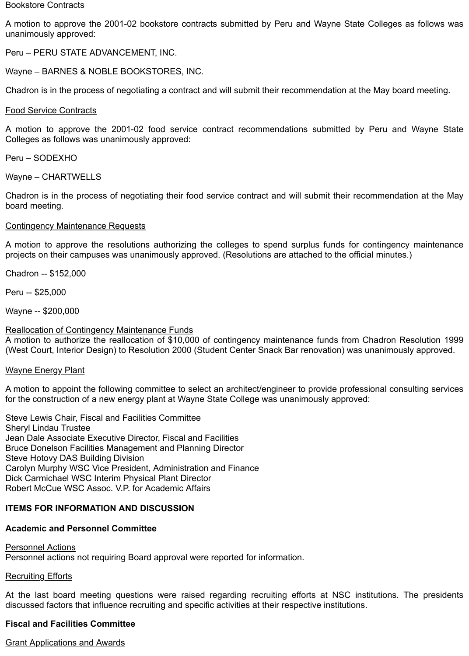#### **Bookstore Contracts**

A motion to approve the 2001-02 bookstore contracts submitted by Peru and Wayne State Colleges as follows was unanimously approved:

Peru – PERU STATE ADVANCEMENT, INC.

Wayne – BARNES & NOBLE BOOKSTORES, INC.

Chadron is in the process of negotiating a contract and will submit their recommendation at the May board meeting.

#### Food Service Contracts

A motion to approve the 2001-02 food service contract recommendations submitted by Peru and Wayne State Colleges as follows was unanimously approved:

Peru – SODEXHO

Wayne – CHARTWELLS

Chadron is in the process of negotiating their food service contract and will submit their recommendation at the May board meeting.

### Contingency Maintenance Requests

A motion to approve the resolutions authorizing the colleges to spend surplus funds for contingency maintenance projects on their campuses was unanimously approved. (Resolutions are attached to the official minutes.)

Chadron -- \$152,000

Peru -- \$25,000

Wayne -- \$200,000

Reallocation of Contingency Maintenance Funds

A motion to authorize the reallocation of \$10,000 of contingency maintenance funds from Chadron Resolution 1999 (West Court, Interior Design) to Resolution 2000 (Student Center Snack Bar renovation) was unanimously approved.

### Wayne Energy Plant

A motion to appoint the following committee to select an architect/engineer to provide professional consulting services for the construction of a new energy plant at Wayne State College was unanimously approved:

Steve Lewis Chair, Fiscal and Facilities Committee Sheryl Lindau Trustee Jean Dale Associate Executive Director, Fiscal and Facilities Bruce Donelson Facilities Management and Planning Director Steve Hotovy DAS Building Division Carolyn Murphy WSC Vice President, Administration and Finance Dick Carmichael WSC Interim Physical Plant Director Robert McCue WSC Assoc. V.P. for Academic Affairs

### **ITEMS FOR INFORMATION AND DISCUSSION**

### **Academic and Personnel Committee**

### Personnel Actions

Personnel actions not requiring Board approval were reported for information.

### Recruiting Efforts

At the last board meeting questions were raised regarding recruiting efforts at NSC institutions. The presidents discussed factors that influence recruiting and specific activities at their respective institutions.

### **Fiscal and Facilities Committee**

Grant Applications and Awards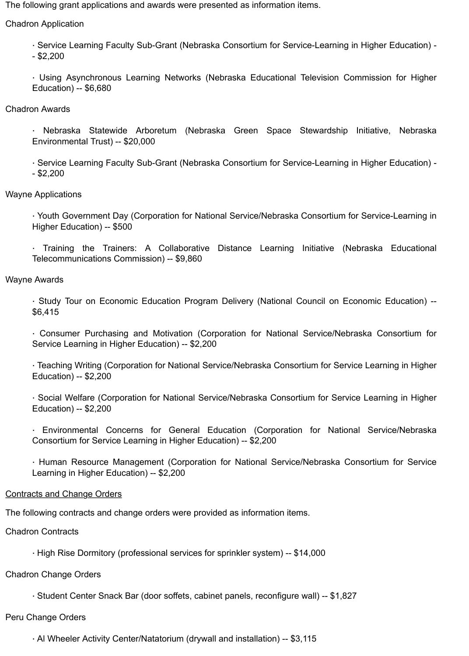The following grant applications and awards were presented as information items.

Chadron Application

· Service Learning Faculty Sub-Grant (Nebraska Consortium for Service-Learning in Higher Education) -  $-$  \$2,200

· Using Asynchronous Learning Networks (Nebraska Educational Television Commission for Higher Education) -- \$6,680

Chadron Awards

· Nebraska Statewide Arboretum (Nebraska Green Space Stewardship Initiative, Nebraska Environmental Trust) -- \$20,000

· Service Learning Faculty Sub-Grant (Nebraska Consortium for Service-Learning in Higher Education) - - \$2,200

Wayne Applications

· Youth Government Day (Corporation for National Service/Nebraska Consortium for Service-Learning in Higher Education) -- \$500

· Training the Trainers: A Collaborative Distance Learning Initiative (Nebraska Educational Telecommunications Commission) -- \$9,860

## Wayne Awards

· Study Tour on Economic Education Program Delivery (National Council on Economic Education) -- \$6,415

· Consumer Purchasing and Motivation (Corporation for National Service/Nebraska Consortium for Service Learning in Higher Education) -- \$2,200

· Teaching Writing (Corporation for National Service/Nebraska Consortium for Service Learning in Higher Education) -- \$2,200

· Social Welfare (Corporation for National Service/Nebraska Consortium for Service Learning in Higher Education) -- \$2,200

· Environmental Concerns for General Education (Corporation for National Service/Nebraska Consortium for Service Learning in Higher Education) -- \$2,200

· Human Resource Management (Corporation for National Service/Nebraska Consortium for Service Learning in Higher Education) -- \$2,200

## Contracts and Change Orders

The following contracts and change orders were provided as information items.

Chadron Contracts

· High Rise Dormitory (professional services for sprinkler system) -- \$14,000

Chadron Change Orders

· Student Center Snack Bar (door soffets, cabinet panels, reconfigure wall) -- \$1,827

## Peru Change Orders

· Al Wheeler Activity Center/Natatorium (drywall and installation) -- \$3,115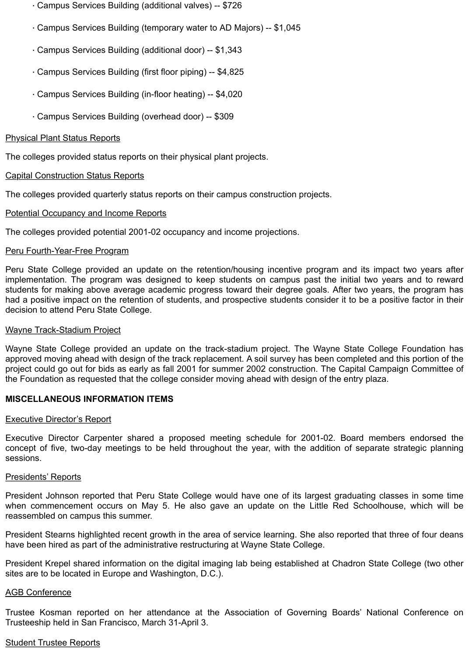- · Campus Services Building (additional valves) -- \$726
- · Campus Services Building (temporary water to AD Majors) -- \$1,045
- · Campus Services Building (additional door) -- \$1,343
- · Campus Services Building (first floor piping) -- \$4,825
- · Campus Services Building (in-floor heating) -- \$4,020
- · Campus Services Building (overhead door) -- \$309

## Physical Plant Status Reports

The colleges provided status reports on their physical plant projects.

## Capital Construction Status Reports

The colleges provided quarterly status reports on their campus construction projects.

## Potential Occupancy and Income Reports

The colleges provided potential 2001-02 occupancy and income projections.

### Peru Fourth-Year-Free Program

Peru State College provided an update on the retention/housing incentive program and its impact two years after implementation. The program was designed to keep students on campus past the initial two years and to reward students for making above average academic progress toward their degree goals. After two years, the program has had a positive impact on the retention of students, and prospective students consider it to be a positive factor in their decision to attend Peru State College.

## Wayne Track-Stadium Project

Wayne State College provided an update on the track-stadium project. The Wayne State College Foundation has approved moving ahead with design of the track replacement. A soil survey has been completed and this portion of the project could go out for bids as early as fall 2001 for summer 2002 construction. The Capital Campaign Committee of the Foundation as requested that the college consider moving ahead with design of the entry plaza.

## **MISCELLANEOUS INFORMATION ITEMS**

### **Executive Director's Report**

Executive Director Carpenter shared a proposed meeting schedule for 2001-02. Board members endorsed the concept of five, two-day meetings to be held throughout the year, with the addition of separate strategic planning sessions.

### Presidents' Reports

President Johnson reported that Peru State College would have one of its largest graduating classes in some time when commencement occurs on May 5. He also gave an update on the Little Red Schoolhouse, which will be reassembled on campus this summer.

President Stearns highlighted recent growth in the area of service learning. She also reported that three of four deans have been hired as part of the administrative restructuring at Wayne State College.

President Krepel shared information on the digital imaging lab being established at Chadron State College (two other sites are to be located in Europe and Washington, D.C.).

### AGB Conference

Trustee Kosman reported on her attendance at the Association of Governing Boards' National Conference on Trusteeship held in San Francisco, March 31-April 3.

### Student Trustee Reports